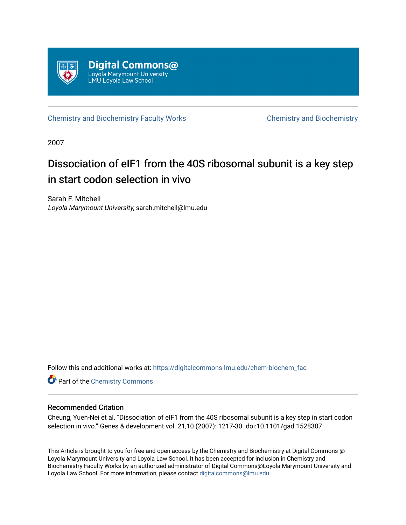

[Chemistry and Biochemistry Faculty Works](https://digitalcommons.lmu.edu/chem-biochem_fac) [Chemistry and Biochemistry](https://digitalcommons.lmu.edu/chem-biochem) 

2007

# Dissociation of eIF1 from the 40S ribosomal subunit is a key step in start codon selection in vivo

Sarah F. Mitchell Loyola Marymount University, sarah.mitchell@lmu.edu

Follow this and additional works at: [https://digitalcommons.lmu.edu/chem-biochem\\_fac](https://digitalcommons.lmu.edu/chem-biochem_fac?utm_source=digitalcommons.lmu.edu%2Fchem-biochem_fac%2F15&utm_medium=PDF&utm_campaign=PDFCoverPages) 

**Part of the Chemistry Commons** 

# Recommended Citation

Cheung, Yuen-Nei et al. "Dissociation of eIF1 from the 40S ribosomal subunit is a key step in start codon selection in vivo." Genes & development vol. 21,10 (2007): 1217-30. doi:10.1101/gad.1528307

This Article is brought to you for free and open access by the Chemistry and Biochemistry at Digital Commons @ Loyola Marymount University and Loyola Law School. It has been accepted for inclusion in Chemistry and Biochemistry Faculty Works by an authorized administrator of Digital Commons@Loyola Marymount University and Loyola Law School. For more information, please contact [digitalcommons@lmu.edu](mailto:digitalcommons@lmu.edu).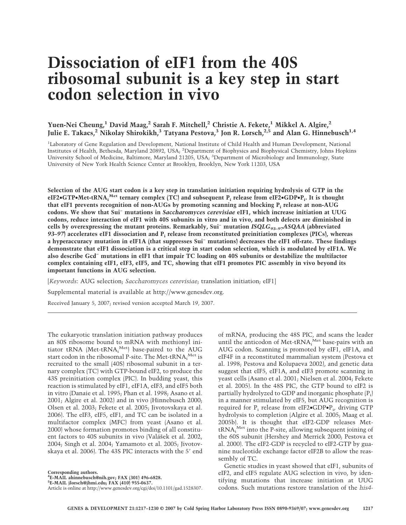# **Dissociation of eIF1 from the 40S ribosomal subunit is a key step in start codon selection in vivo**

**Yuen-Nei Cheung,1 David Maag,2 Sarah F. Mitchell,2 Christie A. Fekete,1 Mikkel A. Algire,2 Julie E. Takacs,<sup>2</sup> Nikolay Shirokikh,3 Tatyana Pestova,3 Jon R. Lorsch,2,5 and Alan G. Hinnebusch1,4**

<sup>1</sup>Laboratory of Gene Regulation and Development, National Institute of Child Health and Human Development, National Institutes of Health, Bethesda, Maryland 20892, USA; <sup>2</sup>Department of Biophysics and Biophysical Chemistry, Johns Hopkins University School of Medicine, Baltimore, Maryland 21205, USA; <sup>3</sup>Department of Microbiology and Immunology, State University of New York Health Science Center at Brooklyn, Brooklyn, New York 11203, USA

**Selection of the AUG start codon is a key step in translation initiation requiring hydrolysis of GTP in the eIF2**•**GTP**•**Met-tRNAi Met ternary complex (TC) and subsequent Pi release from eIF2**•**GDP**•**Pi . It is thought that eIF1 prevents recognition of non-AUGs by promoting scanning and blocking Pi release at non-AUG codons. We show that Sui− mutations in** *Saccharomyces cerevisiae* **eIF1, which increase initiation at UUG codons, reduce interaction of eIF1 with 40S subunits in vitro and in vivo, and both defects are diminished in cells by overexpressing the mutant proteins. Remarkably, Sui− mutation** *ISQLG93–97ASQAA* **(abbreviated** *93–97***) accelerates eIF1 dissociation and Pi release from reconstituted preinitiation complexes (PICs), whereas a hyperaccuracy mutation in eIF1A (that suppresses Sui− mutations) decreases the eIF1 off-rate. These findings demonstrate that eIF1 dissociation is a critical step in start codon selection, which is modulated by eIF1A. We also describe Gcd− mutations in eIF1 that impair TC loading on 40S subunits or destabilize the multifactor complex containing eIF1, eIF3, eIF5, and TC, showing that eIF1 promotes PIC assembly in vivo beyond its important functions in AUG selection.**

[*Keywords*: AUG selection; *Saccharomyces cerevisiae*; translation initiation; eIF1]

Supplemental material is available at http://www.genesdev.org.

Received January 5, 2007; revised version accepted March 19, 2007.

The eukaryotic translation initiation pathway produces an 80S ribosome bound to mRNA with methionyl initiator tRNA (Met-tRNA,<sup>Met</sup>) base-paired to the AUG start codon in the ribosomal P-site. The Met-tRNA, Met is recruited to the small (40S) ribosomal subunit in a ternary complex (TC) with GTP-bound eIF2, to produce the 43S preinitiation complex (PIC). In budding yeast, this reaction is stimulated by eIF1, eIF1A, eIF3, and eIF5 both in vitro (Danaie et al. 1995; Phan et al. 1998; Asano et al. 2001; Algire et al. 2002) and in vivo (Hinnebusch 2000; Olsen et al. 2003; Fekete et al. 2005; Jivotovskaya et al. 2006). The eIF3, eIF5, eIF1, and TC can be isolated in a multifactor complex (MFC) from yeast (Asano et al. 2000) whose formation promotes binding of all constituent factors to 40S subunits in vivo (Valášek et al. 2002, 2004; Singh et al. 2004; Yamamoto et al. 2005; Jivotovskaya et al. 2006). The 43S PIC interacts with the 5' end

**Corresponding authors.**

**4 E-MAIL ahinnebusch@nih.gov; FAX (301) 496-6828.**

**5 E-MAIL jlorsch@jhmi.edu; FAX (410) 955-0637.** Article is online at http://www.genesdev.org/cgi/doi/10.1101/gad.1528307.

of mRNA, producing the 48S PIC, and scans the leader until the anticodon of Met-tRNA<sup>, Met</sup> base-pairs with an AUG codon. Scanning is promoted by eIF1, eIF1A, and eIF4F in a reconstituted mammalian system (Pestova et al. 1998; Pestova and Kolupaeva 2002), and genetic data suggest that eIF5, eIF1A, and eIF3 promote scanning in yeast cells (Asano et al. 2001; Nielsen et al. 2004; Fekete et al. 2005). In the 48S PIC, the GTP bound to eIF2 is partially hydrolyzed to GDP and inorganic phosphate  $(P_i)$ in a manner stimulated by eIF5, but AUG recognition is required for  $\mathrm{P_{i}}$  release from eIF2 $\bullet$ GDP $\bullet \mathrm{P_{i^{\prime}}}$  driving GTP hydrolysis to completion (Algire et al. 2005; Maag et al. 2005b). It is thought that eIF2-GDP releases MettRNAi Met into the P-site, allowing subsequent joining of the 60S subunit (Hershey and Merrick 2000; Pestova et al. 2000). The eIF2-GDP is recycled to eIF2-GTP by guanine nucleotide exchange factor eIF2B to allow the reassembly of TC.

Genetic studies in yeast showed that eIF1, subunits of eIF2, and eIF5 regulate AUG selection in vivo, by identifying mutations that increase initiation at UUG codons. Such mutations restore translation of the *his4-*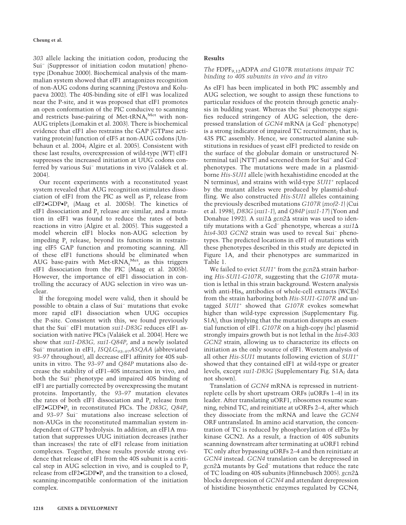*303* allele lacking the initiation codon, producing the Sui− (Suppressor of initiation codon mutation) phenotype (Donahue 2000). Biochemical analysis of the mammalian system showed that eIF1 antagonizes recognition of non-AUG codons during scanning (Pestova and Kolupaeva 2002). The 40S-binding site of eIF1 was localized near the P-site, and it was proposed that eIF1 promotes an open conformation of the PIC conducive to scanning and restricts base-pairing of Met-tRNA,<sup>Met</sup> with non-AUG triplets (Lomakin et al. 2003). There is biochemical evidence that eIF1 also restrains the GAP (GTPase activating protein) function of eIF5 at non-AUG codons (Unbehaun et al. 2004; Algire et al. 2005). Consistent with these last results, overexpression of wild-type (WT) eIF1 suppresses the increased initiation at UUG codons conferred by various Sui− mutations in vivo (Valášek et al. 2004).

Our recent experiments with a reconstituted yeast system revealed that AUG recognition stimulates dissociation of eIF1 from the PIC as well as  $P_i$  release from eIF2•GDP•Pi (Maag et al. 2005b). The kinetics of eIF1 dissociation and  $P_i$  release are similar, and a mutation in eIF1 was found to reduce the rates of both reactions in vitro (Algire et al. 2005). This suggested a model wherein eIF1 blocks non-AUG selection by impeding  $P_i$  release, beyond its functions in restraining eIF5 GAP function and promoting scanning. All of these eIF1 functions should be eliminated when AUG base-pairs with Met-tRNA, Met, as this triggers eIF1 dissociation from the PIC (Maag et al. 2005b). However, the importance of eIF1 dissociation in controlling the accuracy of AUG selection in vivo was unclear.

If the foregoing model were valid, then it should be possible to obtain a class of Sui− mutations that evoke more rapid eIF1 dissociation when UUG occupies the P-site. Consistent with this, we found previously that the Sui− eIF1 mutation *sui1-D83G* reduces eIF1 association with native PICs (Valášek et al. 2004). Here we show that *sui1-D83G, sui1-Q84P*, and a newly isolated Sui− mutation in eIF1, *ISQLG93–97ASQAA* (abbreviated *93–97* throughout), all decrease eIF1 affinity for 40S subunits in vitro. The *93–97* and *Q84P* mutations also decrease the stability of eIF1–40S interaction in vivo, and both the Sui<sup>−</sup> phenotype and impaired 40S binding of eIF1 are partially corrected by overexpressing the mutant proteins. Importantly, the *93–97* mutation elevates the rates of both eIF1 dissociation and  $P_i$  release from eIF2•GDP•Pi in reconstituted PICs. The *D83G*, *Q84P*, and *93–97* Sui<sup>−</sup> mutations also increase selection of non-AUGs in the reconstituted mammalian system independent of GTP hydrolysis. In addition, an eIF1A mutation that suppresses UUG initiation decreases (rather than increases) the rate of eIF1 release from initiation complexes. Together, these results provide strong evidence that release of eIF1 from the 40S subunit is a critical step in AUG selection in vivo, and is coupled to  $P_i$ release from eIF2 $\bullet$ GDP $\bullet$ P<sub>i</sub> and the transition to a closed, scanning-incompatible conformation of the initiation complex.

# **Results**

# *The* FDPF9,12ADPA *and* G107R *mutations impair TC binding to 40S subunits in vivo and in vitro*

As eIF1 has been implicated in both PIC assembly and AUG selection, we sought to assign these functions to particular residues of the protein through genetic analysis in budding yeast. Whereas the Sui− phenotype signifies reduced stringency of AUG selection, the derepressed translation of *GCN4* mRNA (a Gcd− phenotype) is a strong indicator of impaired TC recruitment; that is, 43S PIC assembly. Hence, we constructed alanine substitutions in residues of yeast eIF1 predicted to reside on the surface of the globular domain or unstructured Nterminal tail (NTT) and screened them for Sui− and Gcd− phenotypes. The mutations were made in a plasmidborne *His-SUI1* allele (with hexahistidine encoded at the N terminus), and strains with wild-type *SUI1*<sup>+</sup> replaced by the mutant alleles were produced by plasmid-shuffling. We also constructed *His-SUI1* alleles containing the previously described mutations *G107R* (*mof2-1*) (Cui et al. 1998), *D83G* (*sui1-1*), and *Q84P* (*sui1-17*) (Yoon and Donahue 1992). A *sui1*∆ gcn2∆ strain was used to identify mutations with a Gcd− phenotype, whereas a *sui1 his4-303 GCN2* strain was used to reveal Sui− phenotypes. The predicted locations in eIF1 of mutations with these phenotypes described in this study are depicted in Figure 1A, and their phenotypes are summarized in Table 1.

We failed to evict *SUI1*<sup>+</sup> from the *gcn2* $\Delta$  strain harboring *His-SUI1-G107R*, suggesting that the *G107R* mutation is lethal in this strain background. Western analysis with anti-His $_6$  antibodies of whole-cell extracts (WCEs) from the strain harboring both *His-SUI1-G107R* and untagged *SUI1*<sup>+</sup> showed that *G107R* evokes somewhat higher than wild-type expression (Supplementary Fig. S1A), thus implying that the mutation disrupts an essential function of eIF1. *G107R* on a high-copy (hc) plasmid strongly impairs growth but is not lethal in the *his4-303 GCN2* strain, allowing us to characterize its effects on initiation as the only source of eIF1. Western analysis of all other *His-SUI1* mutants following eviction of *SUI1*<sup>+</sup> showed that they contained eIF1 at wild-type or greater levels, except *sui1-D83G* (Supplementary Fig. S1A; data not shown).

Translation of *GCN4* mRNA is repressed in nutrientreplete cells by short upstream ORFs (uORFs 1–4) in its leader. After translating uORF1, ribosomes resume scanning, rebind TC, and reinitiate at uORFs 2–4, after which they dissociate from the mRNA and leave the *GCN4* ORF untranslated. In amino acid starvation, the concentration of TC is reduced by phosphorylation of eIF2 $\alpha$  by kinase GCN2. As a result, a fraction of 40S subunits scanning downstream after terminating at uORF1 rebind TC only after bypassing uORFs 2–4 and then reinitiate at *GCN4* instead. *GCN4* translation can be derepressed in *gcn2* mutants by Gcd− mutations that reduce the rate of TC loading on 40S subunits (Hinnebusch 2005). *gcn2* blocks derepression of *GCN4* and attendant derepression of histidine biosynthetic enzymes regulated by GCN4,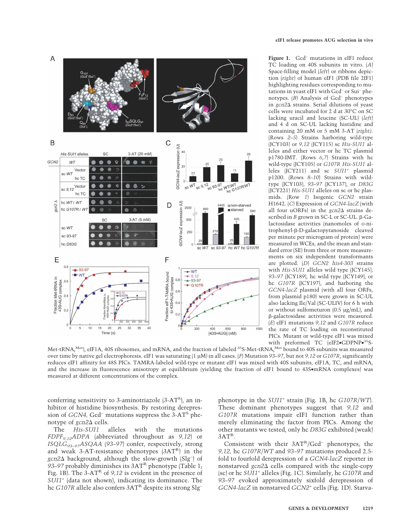

**Figure 1.** Gcd<sup>−</sup> mutations in eIF1 reduce TC loading on 40S subunits in vitro. (*A*) Space-filling model (*left*) or ribbons depiction (*right*) of human eIF1 (PDB file 2IF1) highlighting residues corresponding to mutations in yeast eIF1 with Gcd<sup>−</sup> or Sui− phenotypes. (*B*) Analysis of Gcd<sup>−</sup> phenotypes in *gcn2* strains. Serial dilutions of yeast cells were incubated for 2 d at 30°C on SC lacking uracil and leucine (SC-UL) (*left*) and 4 d on SC-UL lacking histidine and containing 20 mM or 5 mM 3-AT (*right)*. (Rows *2*–*5*) Strains harboring wild-type (JCY103) or *9,12* (JCY115) sc *His-SUI1* alleles and either vector or hc TC plasmid p1780-IMT. (Rows *6*,*7*) Strains with hc wild-type (JCY105) or *G107R His-SUI1* alleles (JCY211) and sc *SUI1*<sup>+</sup> plasmid p1200. (Rows *8*–*10*) Strains with wildtype (JCY103), *93–97* (JCY137), or *D83G* (JCY221) *His-SUI1* alleles on sc or hc plasmids. (Row *1*) Isogenic *GCN2* strain H1642. (*C*) Expression of *GCN4-lacZ* (with all four uORFs) in the  $gcn2\Delta$  strains described in *B* grown in SC-L or SC-UL.  $\beta$ -Galactosidase activities (nanomoles of *o*-nitrophenyl-ß-D-galactopyranoside cleaved per minute per microgram of protein) were measured in WCEs, and the mean and standard error (SE) from three or more measurements on six independent transformants are plotted. (*D*) *GCN2 his4-303* strains with *His-SUI1* alleles wild type (JCY145), *93–97* (JCY189), hc wild type (JCY149), or hc *G107R* (JCY197), and harboring the *GCN4-lacZ* plasmid (with all four ORFs, from plasmid p180) were grown in SC-UL also lacking Ile/Val (SC-ULIV) for 6 h with or without sulfometuron (0.5 µg/mL), and -galactosidase activities were measured. (*E*) eIF1 mutations *9,12* and *G107R* reduce the rate of TC loading on reconstituted PICs. Mutant or wild-type eIF1 was mixed with preformed TC (eIF2•GDPNP•<sup>35</sup>S-

Met-tRNA $_{\rm i}^{\rm Met}$ ), eIF1A, 40S ribosomes, and mRNA, and the fraction of labeled  $^{35}$ S-Met-tRNA $_{\rm i}^{\rm Met}$  bound to 40S subunits was measured over time by native gel electrophoresis. eIF1 was saturating (1 µM) in all cases. (*F*) Mutation *93–97*, but not *9,12* or *G107R*, significantly reduces eIF1 affinity for 48S PICs. TAMRA-labeled wild-type or mutant eIF1 was mixed with 40S subunits, eIF1A, TC, and mRNA, and the increase in fluorescence anisotropy at equilibrium (yielding the fraction of eIF1 bound to 43S•mRNA complexes) was measured at different concentrations of the complex.

conferring sensitivity to 3-aminotriazole (3-AT<sup>S</sup>), an inhibitor of histidine biosynthesis. By restoring derepression of *GCN4,* Gcd<sup>−</sup> mutations suppress the 3-ATS phenotype of *gcn2* $\Delta$  cells.<br>The *His-SUI1* 

alleles with the mutations *FDPF9,12ADPA* (abbreviated throughout as *9,12*) or *ISQLG93–97ASQAA* (*93–97*) confer, respectively, strong and weak 3-AT-resistance phenotypes  $(3AT<sup>R</sup>)$  in the *gcn2* background, although the slow-growth (Slg− ) of 93–97 probably diminishes its 3AT<sup>R</sup> phenotype (Table 1; Fig. 1B). The 3-AT<sup>R</sup> of 9,12 is evident in the presence of *SUI1*<sup>+</sup> (data not shown), indicating its dominance. The hc *G107R* allele also confers 3AT<sup>R</sup> despite its strong Slg<sup>−</sup>

phenotype in the *SUI1*<sup>+</sup> strain (Fig. 1B, hc *G107R*/*WT*). These dominant phenotypes suggest that *9,12* and *G107R* mutations impair eIF1 function rather than merely eliminating the factor from PICs. Among the other mutants we tested, only hc *D83G* exhibited (weak)  $3AT^R$ .

Consistent with their 3ATR/Gcd− phenotypes, the *9,12,* hc *G107R*/*WT* and *93–97* mutations produced 2.5 fold to fourfold derepression of a *GCN4-lacZ* reporter in nonstarved *gcn2* cells compared with the single-copy (sc) or hc *SUI1*<sup>+</sup> alleles (Fig. 1C). Similarly, hc *G107R* and *93–97* evoked approximately sixfold derepression of *GCN4-lacZ* in nonstarved *GCN2*<sup>+</sup> cells (Fig. 1D). Starva-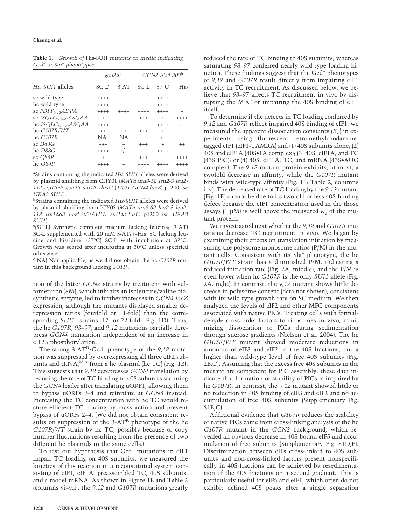|                              | $gcn2\Delta^a$  |           | $GCN2$ his 4-303 <sup>b</sup> |                |         |
|------------------------------|-----------------|-----------|-------------------------------|----------------|---------|
| His-SUI1 alleles             | $SC-Lc$         | $3-AT$    | SC-L                          | $37^{\circ}$ C | $-His$  |
| sc wild type                 | $+++++$         |           | $+++++$                       | $+++++$        |         |
| hc wild type                 | $+++++$         |           | $+++++$                       | $+++++$        |         |
| sc FDPF <sub>9.12</sub> ADPA | $+++++$         | $+++++$   | $+++++$                       | $+++++$        |         |
| sc $ISQLG_{93-97}ASQAA$      | $+++$           | $+$       | $+++$                         | $+$            | $+++++$ |
| hc $ISQLG_{93-97}ASQAA$      | $+++++$         |           | $+++++$                       | $+++++$        | $+++$   |
| hc $G107R/WT$                | $^{++}$         | $^{++}$   | $+++$                         | $+++$          |         |
| hc G107R                     | NA <sup>d</sup> | <b>NA</b> | $+ +$                         | $+ +$          | -       |
| sc $D83G$                    | $^{+++}$        |           | $+++$                         | $+$            | $++$    |
| hc D83G                      | $+++++$         | $+/-$     | $+++++$                       | $+++++$        | $^{+}$  |
| sc $O84P$                    | $^{+++}$        |           | $+++$                         |                | $+++++$ |
| hc Q84P                      | $+++++$         |           | $+++++$                       | $^{+++}$       | $+++++$ |

**Table 1.** *Growth of* His-SUI1 *mutants on media indicating Gcd<sup>−</sup> or Sui<sup>−</sup> phenotypes*

a Strains containing the indicated *His-SUI1* alleles were derived by plasmid shuffling from CHY01 (*MATa ura3-52 leu2-3 leu2- 112 trp163 gcn2 sui1hisG* (*TRP1 GCN4-lacZ*) p1200 (*sc URA3 SUI1*).

b Strains containing the indicated *His-SUI1* alleles were derived by plasmid shuffling from JCY03 (*MATa ura3-52 leu2-3 leu2- 112 trp163 his4-303(AUU) sui1hisG* p1200 (*sc URA3 SUI1*).

c (SC-L) Synthetic complete medium lacking leucine; (3-AT) SC-L supplemented with 20 mM 3-AT; (−His) SC lacking leucine and histidine; (37°C) SC-L with incubation at 37°C. Growth was scored after incubating at 30°C unless specified otherwise.

d (NA) Not applicable, as we did not obtain the hc *G107R* mutant in this background lacking *SUI1*<sup>+</sup> .

tion of the latter *GCN2* strains by treatment with sulfometuron (SM), which inhibits an isoleucine/valine biosynthetic enzyme, led to further increases in *GCN4-lacZ* expression, although the mutants displayed smaller derepression ratios (fourfold or 11-fold) than the corresponding *SUI1*<sup>+</sup> strains (17- or 22-fold) (Fig. 1D). Thus, the hc *G107R*, *93–97*, and *9,12* mutations partially derepress *GCN4* translation independent of an increase in  $e$ IF2 $\alpha$  phosphorylation.

The strong 3-ATR/Gcd− phenotype of the *9,12* mutation was suppressed by overexpressing all three eIF2 subunits and tRNA<sup>Met</sup> from a hc plasmid (hc TC) (Fig. 1B). This suggests that *9,12* derepresses *GCN4* translation by reducing the rate of TC binding to 40S subunits scanning the *GCN4* leader after translating uORF1, allowing them to bypass uORFs 2–4 and reinitiate at *GCN4* instead. Increasing the TC concentration with hc TC would restore efficient TC loading by mass action and prevent bypass of uORFs 2–4. (We did not obtain consistent results on suppression of the  $3-AT<sup>R</sup>$  phenotype of the hc *G107R*/*WT* strain by hc TC, possibly because of copy number fluctuations resulting from the presence of two different hc plasmids in the same cells.)

To test our hypothesis that Gcd− mutations in eIF1 impair TC loading on 40S subunits, we measured the kinetics of this reaction in a reconstituted system consisting of eIF1, eIF1A, preassembled TC, 40S subunits, and a model mRNA. As shown in Figure 1E and Table 2 (columns vi–vii), the *9,12* and *G107R* mutations greatly reduced the rate of TC binding to 40S subunits, whereas saturating *93–97* conferred nearly wild-type loading kinetics. These findings suggest that the Gcd− phenotypes of *9,12* and *G107R* result directly from impairing eIF1 activity in TC recruitment. As discussed below, we believe that *93–97* affects TC recruitment in vivo by disrupting the MFC or impairing the 40S binding of eIF1 itself.

To determine if the defects in TC loading conferred by *9,12* and *G107R* reflect impaired 40S binding of eIF1, we measured the apparent dissociation constants  $(K_d)$  in experiments using fluorescent tetramethylrhodaminetagged eIF1 (eIF1-TAMRA) and (1) 40S subunits alone; (2) 40S and eIF1A (40S•1A complex); (3) 40S, eIF1A, and TC (43S PIC); or (4) 40S, eIF1A, TC, and mRNA (43S•AUG complex). The *9,12* mutant protein exhibits, at most, a twofold decrease in affinity, while the *G107R* mutant binds with wild-type affinity (Fig. 1F; Table 2, columns i–v). The decreased rate of TC loading by the *9,12* mutant (Fig. 1E) cannot be due to its twofold or less 40S-binding defect because the eIF1 concentration used in the those assays (1  $\mu$ M) is well above the measured  $K_d$  of the mutant protein.

We investigated next whether the *9,12* and *G107R* mutations decrease TC recruitment in vivo. We began by examining their effects on translation initiation by measuring the polysome: monosome ratios  $(P/M)$  in the mutant cells. Consistent with its Slg− phenotype, the hc *G107R*/*WT* strain has a diminished P/M, indicating a reduced initiation rate (Fig. 2A, middle), and the P/M is even lower when hc *G107R* is the only *SUI1* allele (Fig. 2A, right). In contrast, the *9,12* mutant shows little decrease in polysome content (data not shown), consistent with its wild-type growth rate on SC medium. We then analyzed the levels of eIF2 and other MFC components associated with native PICs. Treating cells with formaldehyde cross-links factors to ribosomes in vivo, minimizing dissociation of PICs during sedimentation through sucrose gradients (Nielsen et al. 2004). The hc *G107R*/*WT* mutant showed moderate reductions in amounts of eIF3 and eIF2 in the 40S fractions, but a higher than wild-type level of free 40S subunits (Fig. 2B,C). Assuming that the excess free 40S subunits in the mutant are competent for PIC assembly, these data indicate that formation or stability of PICs is impaired by hc *G107R*. In contrast, the *9,12* mutant showed little or no reduction in 40S binding of eIF3 and eIF2 and no accumulation of free 40S subunits (Supplementary Fig. S1B,C).

Additional evidence that *G107R* reduces the stability of native PICs came from cross-linking analysis of the hc *G107R* mutant in the *GCN2* background, which revealed an obvious decrease in 40S-bound eIF5 and accumulation of free subunits (Supplementary Fig. S1D,E). Discrimination between eIFs cross-linked to 40S subunits and non-cross-linked factors present nonspecifically in 40S fractions can be achieved by resedimentation of the 40S fractions on a second gradient. This is particularly useful for eIF5 and eIF1, which often do not exhibit defined 40S peaks after a single separation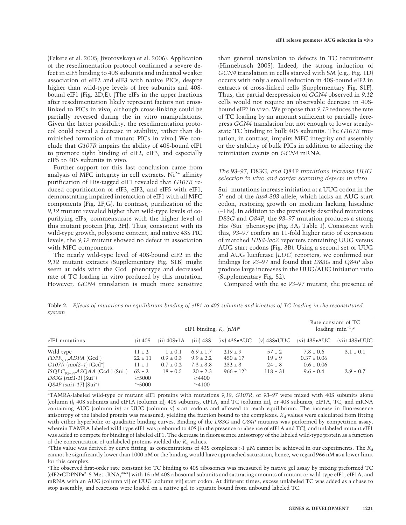(Fekete et al. 2005; Jivotovskaya et al. 2006). Application of the resedimentation protocol confirmed a severe defect in eIF5 binding to 40S subunits and indicated weaker association of eIF2 and eIF3 with native PICs, despite higher than wild-type levels of free subunits and 40Sbound eIF1 (Fig. 2D,E). (The eIFs in the upper fractions after resedimentation likely represent factors not crosslinked to PICs in vivo, although cross-linking could be partially reversed during the in vitro manipulations. Given the latter possibility, the resedimentation protocol could reveal a decrease in stability, rather than diminished formation of mutant PICs in vivo.) We conclude that *G107R* impairs the ability of 40S-bound eIF1 to promote tight binding of eIF2, eIF3, and especially eIF5 to 40S subunits in vivo.

Further support for this last conclusion came from analysis of MFC integrity in cell extracts.  $Ni<sup>2+</sup>$  affinity purification of His-tagged eIF1 revealed that *G107R* reduced copurification of eIF3, eIF2, and eIF5 with eIF1, demonstrating impaired interaction of eIF1 with all MFC components (Fig. 2F,G). In contrast, purification of the *9,12* mutant revealed higher than wild-type levels of copurifying eIFs, commensurate with the higher level of this mutant protein (Fig. 2H). Thus, consistent with its wild-type growth, polysome content, and native 43S PIC levels, the *9,12* mutant showed no defect in association with MFC components.

The nearly wild-type level of 40S-bound eIF2 in the *9,12* mutant extracts (Supplementary Fig. S1B) might seem at odds with the Gcd− phenotype and decreased rate of TC loading in vitro produced by this mutation. However, *GCN4* translation is much more sensitive

than general translation to defects in TC recruitment (Hinnebusch 2005). Indeed, the strong induction of *GCN4* translation in cells starved with SM (e.g., Fig. 1D) occurs with only a small reduction in 40S-bound eIF2 in extracts of cross-linked cells (Supplementary Fig. S1F). Thus, the partial derepression of *GCN4* observed in *9,12* cells would not require an observable decrease in 40Sbound eIF2 in vivo. We propose that *9,12* reduces the rate of TC loading by an amount sufficient to partially derepress *GCN4* translation but not enough to lower steadystate TC binding to bulk 40S subunits. The *G107R* mutation, in contrast, impairs MFC integrity and assembly or the stability of bulk PICs in addition to affecting the reinitiation events on *GCN4* mRNA.

# *The* 93–97*,* D83G*, and* Q84P *mutations increase UUG selection in vivo and confer scanning defects in vitro*

Sui− mutations increase initiation at a UUG codon in the 5 end of the *his4-303* allele, which lacks an AUG start codon, restoring growth on medium lacking histidine (−His). In addition to the previously described mutations *D83G* and *Q84P*, the *93–97* mutation produces a strong His+ /Sui− phenotype (Fig. 3A; Table 1). Consistent with this, *93–97* confers an 11-fold higher ratio of expression of matched *HIS4-lacZ* reporters containing UUG versus AUG start codons (Fig. 3B). Using a second set of UUG and AUG luciferase (*LUC*) reporters, we confirmed our findings for *93–97* and found that *D83G* and *Q84P* also produce large increases in the UUG/AUG initiation ratio (Supplementary Fig. S2).

Compared with the sc *93–97* mutant, the presence of

**Table 2.** *Effects of mutations on equilibrium binding of eIF1 to 40S subunits and kinetics of TC loading in the reconstituted system*

| eIF1 mutations                                                                                                                              | eIF1 binding, $K_d$ (nM) <sup>a</sup>    |                                               |                                                 |                                            |                                        | Rate constant of TC<br>loading $(\text{min}^{-1})^c$ |                           |
|---------------------------------------------------------------------------------------------------------------------------------------------|------------------------------------------|-----------------------------------------------|-------------------------------------------------|--------------------------------------------|----------------------------------------|------------------------------------------------------|---------------------------|
|                                                                                                                                             | $(i)$ 40S                                | $(ii) 40S \bullet 1A$                         | $(iii)$ 43S                                     | $(iv)$ 43S $\bullet$ AUG                   | $\mathbf{v}$ 43S•UUG                   | $\lbrack \mathrm{vi} \rbrack$ 43S $\bullet$ AUG      | $(vii)$ 43S $\bullet$ UUG |
| Wild type<br>$FDPF_{Q12}ADPA$ (Gcd <sup>-</sup> )<br>$G107R$ (mof2-1) (Gcd <sup>-</sup> )                                                   | $11 \pm 2$<br>$22 \pm 11$<br>$11 \pm 1$  | $1 \pm 0.1$<br>$0.9 \pm 0.3$<br>$0.7 \pm 0.2$ | $6.9 \pm 1.7$<br>$9.9 \pm 2.2$<br>$7.3 \pm 3.8$ | $219 \pm 9$<br>$450 \pm 17$<br>$232 \pm 3$ | $57 \pm 2$<br>$19 \pm 9$<br>$24 \pm 8$ | $7.8 \pm 0.6$<br>$0.37 \pm 0.06$<br>$0.6 \pm 0.06$   | $3.1 \pm 0.1$             |
| $ISQLG_{93-97}ASQAA$ (Gcd <sup>-</sup> ) (Sui <sup>-</sup> )<br>$D83G$ (sui1-1) (Sui <sup>-</sup> )<br>$Q84P$ (sui1-17) (Sui <sup>-</sup> ) | $62 \pm 2$<br>$\geq 5000$<br>$\geq 5000$ | $18 \pm 0.5$                                  | $20 \pm 2.3$<br>$\geq 4400$<br>$\geq 4100$      | $966 \pm 12^{b}$                           | $118 \pm 31$                           | $9.6 \pm 0.4$                                        | $2.9 \pm 0.7$             |

a TAMRA-labeled wild-type or mutant eIF1 proteins with mutations *9,12*, *G107R*, or *93–97* were mixed with 40S subunits alone (column i); 40S subunits and eIF1A (column ii); 40S subunits, eIF1A, and TC (column iii); or 40S subunits, eIF1A, TC, and mRNA containing AUG (column iv) or UUG (column v) start codons and allowed to reach equilibrium. The increase in fluorescence anisotropy of the labeled protein was measured, yielding the fraction bound to the complexes.  $K_d$  values were calculated from fitting with either hyperbolic or quadratic binding curves. Binding of the *D83G* and *Q84P* mutants was performed by competition assay, wherein TAMRA-labeled wild-type eIF1 was prebound to 40S (in the presence or absence of eIF1A and TC), and unlabeled mutant eIF1 was added to compete for binding of labeled eIF1. The decrease in fluorescence anisotropy of the labeled wild-type protein as a function of the concentration of unlabeled proteins yielded the  $K_d$  values.

<sup>b</sup>This value was derived by curve fitting, as concentrations of 43S complexes >1 µM cannot be achieved in our experiments. The  $K_d$ cannot be significantly lower than 1000 nM or the binding would have approached saturation; hence, we regard 966 nM as a lower limit for this complex.

c The observed first-order rate constant for TC binding to 40S ribosomes was measured by native gel assay by mixing preformed TC (eIF2•GDPNP•<sup>35</sup>S-Met-tRNA<sub>i</sub><sup>Met</sup>) with 15 nM 40S ribosomal subunits and saturating amounts of mutant or wild-type eIF1, eIF1A, and mRNA with an AUG (column vi) or UUG (column vii) start codon. At different times, excess unlabeled TC was added as a chase to stop assembly, and reactions were loaded on a native gel to separate bound from unbound labeled TC.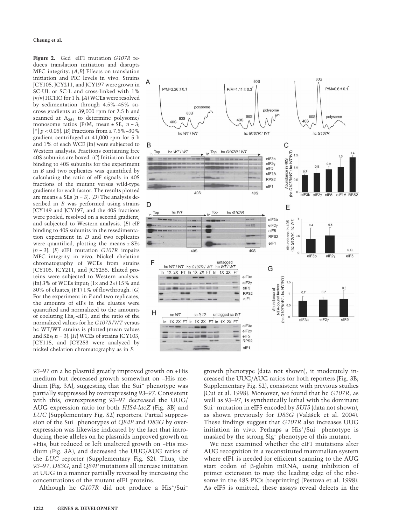**Cheung et al.**

**Figure 2.** Gcd− eIF1 mutation *G107R* reduces translation initiation and disrupts MFC integrity. (*A*,*B*) Effects on translation initiation and PIC levels in vivo. Strains JCY105, JCY211, and JCY197 were grown in SC-UL or SC-L and cross-linked with 1% (v/v) HCHO for 1 h. (*A*) WCEs were resolved by sedimentation through 4.5%–45% sucrose gradients at 39,000 rpm for 2.5 h and scanned at  $A_{254}$  to determine polysome/ monosome ratios  $(P/M, \text{mean} \pm \text{SE}, n = 3;$ [\*] *p* < 0.05). (*B*) Fractions from a 7.5%–30% gradient centrifuged at 41,000 rpm for 5 h and 1% of each WCE (In) were subjected to Western analysis. Fractions containing free 40S subunits are boxed. (*C*) Initiation factor binding to 40S subunits for the experiment in *B* and two replicates was quantified by calculating the ratio of eIF signals in 40S fractions of the mutant versus wild-type gradients for each factor. The results plotted are means  $\pm$  SEs  $(n = 3)$ . *(D)* The analysis described in *B* was performed using strains JCY149 and JCY197, and the 40S fractions were pooled, resolved on a second gradient, and subjected to Western analysis. (*E*) eIF binding to 40S subunits in the resedimentation experiment in *D* and two replicates were quantified, plotting the means ± SEs (*n* = 3). (*F*) eIF1 mutation *G107R* impairs MFC integrity in vivo. Nickel chelation chromatography of WCEs from strains JCY105, JCY211, and JCY255. Eluted proteins were subjected to Western analysis. (In) 3% of WCEs input;  $(1 \times$  and  $2 \times$ ) 15% and 30% of eluates; (FT) 1% of flowthrough. (*G*) For the experiment in *F* and two replicates, the amounts of eIFs in the eluates were quantified and normalized to the amounts of coeluting  $His<sub>6</sub>$ -eIF1, and the ratio of the normalized values for hc *G107R/WT* versus hc WT/WT strains is plotted (mean values and SEs; *n* = 3). (*H*) WCEs of strains JCY103, JCY115, and JCY253 were analyzed by nickel chelation chromatography as in *F*.



*93–97* on a hc plasmid greatly improved growth on +His medium but decreased growth somewhat on −His medium (Fig. 3A), suggesting that the Sui− phenotype was partially suppressed by overexpressing *93–97*. Consistent with this, overexpressing *93–97* decreased the UUG/ AUG expression ratio for both *HIS4-lacZ* (Fig. 3B) and *LUC* (Supplementary Fig. S2) reporters. Partial suppression of the Sui− phenotypes of *Q84P* and *D83G* by overexpression was likewise indicated by the fact that introducing these alleles on hc plasmids improved growth on +His, but reduced or left unaltered growth on −His medium (Fig. 3A), and decreased the UUG/AUG ratios of the *LUC* reporter (Supplementary Fig. S2). Thus, the *93–97*, *D83G*, and *Q84P* mutations all increase initiation at UUG in a manner partially reversed by increasing the concentrations of the mutant eIF1 proteins.

Although hc *G107R* did not produce a His<sup>+</sup>/Sui<sup>−</sup>

growth phenotype (data not shown), it moderately increased the UUG/AUG ratios for both reporters (Fig. 3B; Supplementary Fig. S2), consistent with previous studies (Cui et al. 1998). Moreover, we found that hc *G107R*, as well as *93–97*, is synthetically lethal with the dominant Sui− mutation in eIF5 encoded by *SUI5* (data not shown), as shown previously for *D83G* (Valášek et al. 2004). These findings suggest that *G107R* also increases UUG initiation in vivo. Perhaps a His+ /Sui− phenotype is masked by the strong Slg− phenotype of this mutant.

We next examined whether the eIF1 mutations alter AUG recognition in a reconstituted mammalian system where eIF1 is needed for efficient scanning to the AUG start codon of  $\beta$ -globin mRNA, using inhibition of primer extension to map the leading edge of the ribosome in the 48S PICs (toeprinting) (Pestova et al. 1998). As eIF5 is omitted, these assays reveal defects in the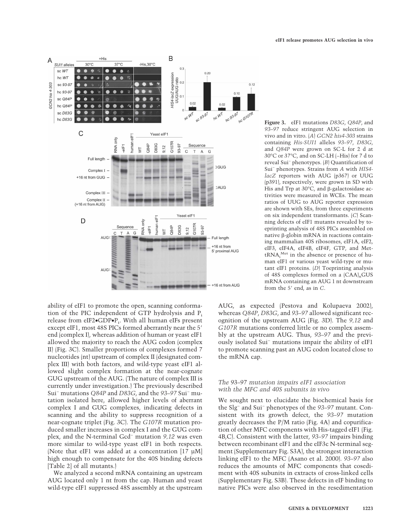

ability of eIF1 to promote the open, scanning conformation of the PIC independent of GTP hydrolysis and  $P_i$ release from eIF2•GDP•P<sub>i</sub>. With all human eIFs present except eIF1, most 48S PICs formed aberrantly near the 5 end (complex I), whereas addition of human or yeast eIF1 allowed the majority to reach the AUG codon (complex II) (Fig. 3C). Smaller proportions of complexes formed 7 nucleotides (nt) upstream of complex II (designated complex III) with both factors, and wild-type yeast eIF1 allowed slight complex formation at the near-cognate GUG upstream of the AUG. (The nature of complex III is currently under investigation.) The previously described Sui− mutations *Q84P* and *D83G*, and the *93–97* Sui− mutation isolated here, allowed higher levels of aberrant complex I and GUG complexes, indicating defects in scanning and the ability to suppress recognition of a near-cognate triplet (Fig. 3C). The *G107R* mutation produced smaller increases in complex I and the GUG complex, and the N-terminal Gcd− mutation *9,12* was even more similar to wild-type yeast eIF1 in both respects. (Note that eIF1 was added at a concentration [17 µM] high enough to compensate for the 40S binding defects [Table 2] of all mutants.)

We analyzed a second mRNA containing an upstream AUG located only 1 nt from the cap. Human and yeast wild-type eIF1 suppressed 48S assembly at the upstream

**Figure 3.** eIF1 mutations *D83G*, *Q84P*, and *93–97* reduce stringent AUG selection in vivo and in vitro. (*A*) *GCN2 his4-303* strains containing *His-SUI1* alleles *93–97*, *D83G*, and *Q84P* were grown on SC-L for 2 d at 30°C or 37°C, and on SC-LH (−His) for 7 d to reveal Sui<sup>−</sup> phenotypes. (*B*) Quantification of Sui<sup>−</sup> phenotypes. Strains from *A* with *HIS4 lacZ* reporters with AUG (p367) or UUG (p391), respectively, were grown in SD with His and Trp at  $30^{\circ}$ C, and  $\beta$ -galactosidase activities were measured in WCEs. The mean ratios of UUG to AUG reporter expression are shown with SEs, from three experiments on six independent transformants. (*C*) Scanning defects of eIF1 mutants revealed by toeprinting analysis of 48S PICs assembled on native  $\beta$ -globin mRNA in reactions containing mammalian 40S ribosomes, eIF1A, eIF2, eIF3, eIF4A, eIF4B, eIF4F, GTP, and MettRNA<sub>i</sub><sup>Met</sup> in the absence or presence of human eIF1 or various yeast wild-type or mutant eIF1 proteins. (*D*) Toeprinting analysis of 48S complexes formed on a  $(CAA)$ <sub>n</sub>GUS mRNA containing an AUG 1 nt downstream from the 5' end, as in C.

AUG, as expected (Pestova and Kolupaeva 2002), whereas *Q84P*, *D83G*, and *93–97* allowed significant recognition of the upstream AUG (Fig. 3D). The *9,12* and *G107R* mutations conferred little or no complex assembly at the upstream AUG. Thus, *93–97* and the previously isolated Sui− mutations impair the ability of eIF1 to promote scanning past an AUG codon located close to the mRNA cap.

# *The* 93–97 *mutation impairs eIF1 association with the MFC and 40S subunits in vivo*

We sought next to elucidate the biochemical basis for the Slg− and Sui− phenotypes of the *93–97* mutant. Consistent with its growth defect, the *93–97* mutation greatly decreases the P/M ratio (Fig. 4A) and copurification of other MFC components with His-tagged eIF1 (Fig. 4B,C). Consistent with the latter, *93–97* impairs binding between recombinant eIF1 and the eIF3c N-terminal segment (Supplementary Fig. S3A), the strongest interaction linking eIF1 to the MFC (Asano et al. 2000). *93–97* also reduces the amounts of MFC components that cosediment with 40S subunits in extracts of cross-linked cells (Supplementary Fig. S3B). These defects in eIF binding to native PICs were also observed in the resedimentation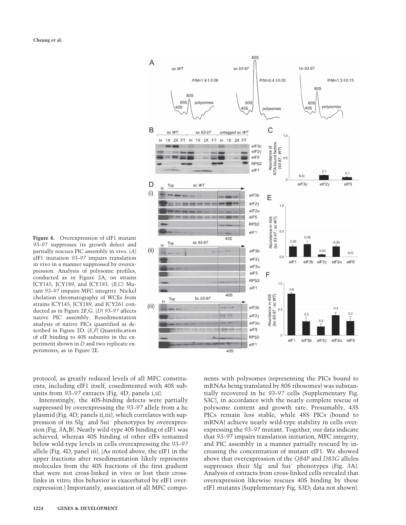**Figure 4.** Overexpression of eIF1 mutant *93–97* suppresses its growth defect and partially rescues PIC assembly in vivo. (*A*) eIF1 mutation *93–97* impairs translation in vivo in a manner suppressed by overexpression. Analysis of polysome profiles, conducted as in Figure 2A, on strains JCY145, JCY189, and JCY193. (*B*,*C*) Mutant *93–97* impairs MFC integrity. Nickel chelation chromatography of WCEs from strains JCY145, JCY189, and JCY261 conducted as in Figure 2F,G. (*D*) *93–97* affects native PIC assembly. Resedimentation analysis of native PICs quantified as described in Figure 2D. (*E*,*F*) Quantification of eIF binding to 40S subunits in the experiment shown in *D* and two replicate experiments, as in Figure 2E.



protocol, as greatly reduced levels of all MFC constituents, including eIF1 itself, cosedimented with 40S subunits from *93–97* extracts (Fig. 4D, panels i,ii).

Interestingly, the 40S-binding defects were partially suppressed by overexpressing the *93–97* allele from a hc plasmid (Fig. 4D, panels ii,iii), which correlates with suppression of its Slg− and Sui− phenotypes by overexpression (Fig. 3A,B). Nearly wild-type 40S binding of eIF1 was achieved, whereas 40S binding of other eIFs remained below wild-type levels in cells overexpressing the *93–97* allele (Fig. 4D, panel iii). (As noted above, the eIF1 in the upper fractions after resedimentation likely represents molecules from the 40S fractions of the first gradient that were not cross-linked in vivo or lost their crosslinks in vitro; this behavior is exacerbated by eIF1 overexpression.) Importantly, association of all MFC components with polysomes (representing the PICs bound to mRNAs being translated by 80S ribosomes) was substantially recovered in hc *93–97* cells (Supplementary Fig. S3C), in accordance with the nearly complete rescue of polysome content and growth rate. Presumably, 43S PICs remain less stable, while 48S PICs (bound to mRNA) achieve nearly wild-type stability in cells overexpressing the *93–97* mutant. Together, our data indicate that *93–97* impairs translation initiation, MFC integrity, and PIC assembly in a manner partially rescued by increasing the concentration of mutant eIF1. We showed above that overexpression of the *Q84P* and *D83G* alleles suppresses their Slg− and Sui− phenotypes (Fig. 3A). Analysis of extracts from cross-linked cells revealed that overexpression likewise rescues 40S binding by these eIF1 mutants (Supplementary Fig. S3D; data not shown).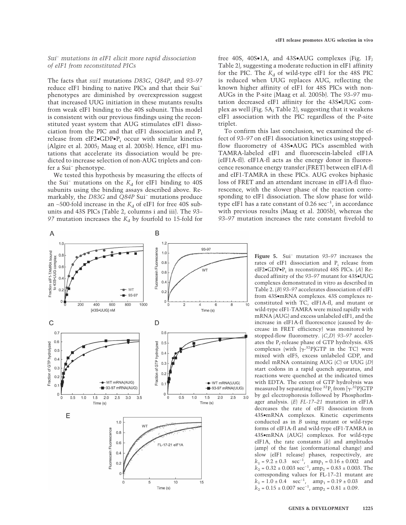### *Sui− mutations in eIF1 elicit more rapid dissociation of eIF1 from reconstituted PICs*

The facts that *sui1* mutations *D83G*, *Q84P*, and *93–97* reduce eIF1 binding to native PICs and that their Sui− phenotypes are diminished by overexpression suggest that increased UUG initiation in these mutants results from weak eIF1 binding to the 40S subunit. This model is consistent with our previous findings using the reconstituted yeast system that AUG stimulates eIF1 dissociation from the PIC and that eIF1 dissociation and  $P_i$ release from eIF2 $\bullet$ GDP $\bullet$ P<sub>i</sub> occur with similar kinetics (Algire et al. 2005; Maag et al. 2005b). Hence, eIF1 mutations that accelerate its dissociation would be predicted to increase selection of non-AUG triplets and confer a Sui<sup>−</sup> phenotype.

We tested this hypothesis by measuring the effects of the Sui<sup>−</sup> mutations on the  $K_d$  for eIF1 binding to 40S subunits using the binding assays described above. Remarkably, the *D83G* and *Q84P* Sui− mutations produce an ∼500-fold increase in the *K*<sub>d</sub> of eIF1 for free 40S subunits and 43S PICs (Table 2, columns i and iii). The *93–* 97 mutation increases the  $K_d$  by fourfold to 15-fold for



To confirm this last conclusion, we examined the effect of *93–97* on eIF1 dissociation kinetics using stoppedflow fluorometry of 43S•AUG PICs assembled with TAMRA-labeled eIF1 and fluorescein-labeled eIF1A (eIF1A-fl). eIF1A-fl acts as the energy donor in fluorescence resonance energy transfer (FRET) between eIF1A-fl and eIF1-TAMRA in these PICs. AUG evokes biphasic loss of FRET and an attendant increase in eIF1A-fl fluorescence, with the slower phase of the reaction corresponding to eIF1 dissociation. The slow phase for wildtype eIF1 has a rate constant of 0.26  $sec^{-1}$ , in accordance with previous results (Maag et al. 2005b), whereas the *93–97* mutation increases the rate constant fivefold to

A B  $1.2$  $1<sub>1</sub>$ 93-97 Fluorescein Fluorescence Fraction eIF1-TAMRA bound<br>to 43S•UUG complex  $1.0$  $0.\xi$  $0.8$  $0.6$ WT  $0.6$  $0.4$  $0.4$  $0.2$ WT  $0.3$  $-23-97$  $\overline{0}$  $\Omega$  $20<sub>C</sub>$ 400 600 800 1000  $\epsilon$ 10 [43S\*UUG] nM Time (s)  $\mathsf{C}$ D  $0.7$  $0.6$  $0.6$  $0.5$ Fraction of GTP hydrolyzed Fraction of GTP hydrolyzed  $0.5$  $0.4$  $0.4$  $0.3$  $0.\overline{3}$  $0.2$  $0.2$ - WT mRNA(AUG) -WT mRNA(UUG)  $\overline{0}$ .  $\mathbf{0}$ -93-97 mRNA(AUG -- 93-97 mRNA(UUG)  $\mathbf 0$  $\mathbf 0$  $2.0$  $2.5$  $3.0$  $\overline{3.5}$  $0.5$  $1.0$  $2.0$  $2.5$  $3.0$  $0.5$  $1.0$  $1.5$  $1.5$  $\circ$ Time (s) Time (s) E  $1.0$ **WT** Fluorescein Fluorescence  $0.8\,$  $0.6$ FL-17-21 elF1A  $0.4$  $0.2$  $\mathbf 0$ 10 15  $\mathbf 0$ 5

Time (s)

**Figure 5.** Sui− mutation *93–97* increases the rates of eIF1 dissociation and Pi release from eIF2•GDP•Pi in reconstituted 48S PICs. (*A*) Reduced affinity of the *93–97* mutant for 43S•UUG complexes demonstrated in vitro as described in Table 2. (*B*) *93–97* accelerates dissociation of eIF1 from 43S•mRNA complexes. 43S complexes reconstituted with TC, eIF1A-fl, and mutant or wild-type eIF1-TAMRA were mixed rapidly with mRNA (AUG) and excess unlabeled eIF1, and the increase in eIF1A-fl fluorescence (caused by decrease in FRET efficiency) was monitored by stopped-flow fluorometry. (*C*,*D*) *93–97* accelerates the P<sub>i</sub>-release phase of GTP hydrolysis. 43S complexes (with  $[\gamma^{-32}P]GTP$  in the TC) were mixed with eIF5, excess unlabeled GDP, and model mRNA containing AUG (*C*) or UUG (*D*) start codons in a rapid quench apparatus, and reactions were quenched at the indicated times with EDTA. The extent of GTP hydrolysis was measured by separating free  ${}^{32}P_1$  from [ $\gamma$ - ${}^{32}P]GTP$ by gel electrophoresis followed by PhosphorImager analysis. (*E*) *FL-17–21* mutation in eIF1A decreases the rate of eIF1 dissociation from 43S•mRNA complexes. Kinetic experiments conducted as in *B* using mutant or wild-type forms of eIF1A-fl and wild-type eIF1-TAMRA in 43S•mRNA (AUG) complexes. For wild-type eIF1A, the rate constants (*k*) and amplitudes (amp) of the fast (conformational change) and slow (eIF1 release) phases, respectively, are  $k_1 = 9.2 \pm 0.3$  sec<sup>-1</sup>, amp<sub>1</sub> = 0.16 ± 0.002 and  $k_2 = 0.32 \pm 0.003 \text{ sec}^{-1}$ ,  $\text{amp}_2 = 0.83 \pm 0.003$ . The corresponding values for FL-17–21 mutant are  $k_1 = 1.0 \pm 0.4$  sec<sup>-1</sup>, amp<sub>1</sub> = 0.19 ± 0.03 and  $k_2 = 0.15 \pm 0.007 \text{ sec}^{-1}$ ,  $\text{amp}_2 = 0.81 \pm 0.09$ .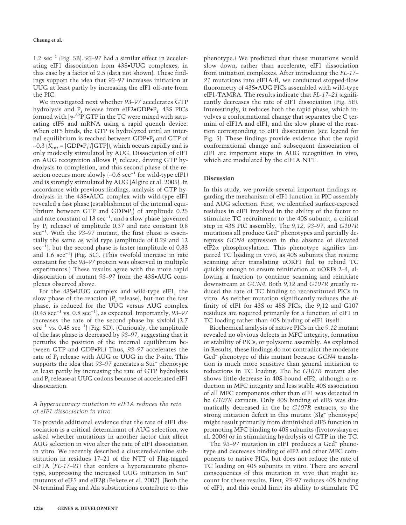1.2 sec−1 (Fig. 5B). *93–97* had a similar effect in accelerating eIF1 dissociation from 43S•UUG complexes, in this case by a factor of 2.5 (data not shown). These findings support the idea that *93–97* increases initiation at UUG at least partly by increasing the eIF1 off-rate from the PIC.

We investigated next whether *93–97* accelerates GTP hydrolysis and  $P_i$  release from eIF2 $\bullet$ GDP $\bullet$ P<sub>i</sub>. 43S PICs formed with  $[\gamma^{32}P]GTP$  in the TC were mixed with saturating eIF5 and mRNA using a rapid quench device. When eIF5 binds, the GTP is hydrolyzed until an internal equilibrium is reached between  $GDP \bullet P_i$  and  $GTP$  of ∼0.3 (*K*int = [GDP•Pi ]/[GTP]), which occurs rapidly and is only modestly stimulated by AUG. Dissociation of eIF1 on AUG recognition allows  $P_i$  release, driving GTP hydrolysis to completion, and this second phase of the reaction occurs more slowly (∼0.6 sec−1 for wild-type eIF1) and is strongly stimulated by AUG (Algire et al. 2005). In accordance with previous findings, analysis of GTP hydrolysis in the 43S•AUG complex with wild-type eIF1 revealed a fast phase (establishment of the internal equilibrium between GTP and  $GDP \bullet P_i$  of amplitude 0.25 and rate constant of 13 sec−1 , and a slow phase (governed by  $P_i$  release) of amplitude 0.37 and rate constant 0.8 sec−1 . With the *93–97* mutant, the first phase is essentially the same as wild type (amplitude of 0.29 and 12 sec<sup>-1</sup>), but the second phase is faster (amplitude of 0.33 and 1.6 sec−1 ) (Fig. 5C). (This twofold increase in rate constant for the *93–97* protein was observed in multiple experiments.) These results agree with the more rapid dissociation of mutant *93–97* from the 43S•AUG complexes observed above.

For the 43S•UUG complex and wild-type eIF1, the slow phase of the reaction  $(P_i \text{ release})$ , but not the fast phase, is reduced for the UUG versus AUG complex (0.45 sec−1 vs. 0.8 sec−1 ), as expected. Importantly, *93–97* increases the rate of the second phase by sixfold (2.7 sec<sup>-1</sup> vs. 0.45 sec<sup>-1</sup>) (Fig. 5D). (Curiously, the amplitude of the fast phase is decreased by *93–97*, suggesting that it perturbs the position of the internal equilibrium between GTP and GDP•Pi.) Thus, *93–97* accelerates the rate of P<sub>i</sub> release with AUG or UUG in the P-site. This supports the idea that *93–97* generates a Sui− phenotype at least partly by increasing the rate of GTP hydrolysis and P<sub>i</sub> release at UUG codons because of accelerated eIF1 dissociation.

# *A hyperaccuracy mutation in eIF1A reduces the rate of eIF1 dissociation in vitro*

To provide additional evidence that the rate of eIF1 dissociation is a critical determinant of AUG selection, we asked whether mutations in another factor that affect AUG selection in vivo alter the rate of eIF1 dissociation in vitro. We recently described a clustered-alanine substitution in residues 17–21 of the NTT of Flag-tagged eIF1A (*FL-17–21*) that confers a hyperaccurate phenotype, suppressing the increased UUG initiation in Sui− mutants of eIF5 and eIF2 $\beta$  (Fekete et al. 2007). (Both the N-terminal Flag and Ala substitutions contribute to this phenotype.) We predicted that these mutations would slow down, rather than accelerate, eIF1 dissociation from initiation complexes. After introducing the *FL-17– 21* mutations into eIF1A-fl, we conducted stopped-flow fluorometry of 43S•AUG PICs assembled with wild-type eIF1-TAMRA. The results indicate that *FL-17–21* significantly decreases the rate of eIF1 dissociation (Fig. 5E). Interestingly, it reduces both the rapid phase, which involves a conformational change that separates the C termini of eIF1A and eIF1, and the slow phase of the reaction corresponding to eIF1 dissociation (see legend for Fig. 5). These findings provide evidence that the rapid conformational change and subsequent dissociation of eIF1 are important steps in AUG recognition in vivo, which are modulated by the eIF1A NTT.

# **Discussion**

In this study, we provide several important findings regarding the mechanism of eIF1 function in PIC assembly and AUG selection. First, we identified surface-exposed residues in eIF1 involved in the ability of the factor to stimulate TC recruitment to the 40S subunit, a critical step in 43S PIC assembly. The *9,12*, *93–97*, and *G107R* mutations all produce Gcd− phenotypes and partially derepress *GCN4* expression in the absence of elevated  $e$ IF2 $\alpha$  phosphorylation. This phenotype signifies impaired TC loading in vivo, as 40S subunits that resume scanning after translating uORF1 fail to rebind TC quickly enough to ensure reinitiation at uORFs 2–4, allowing a fraction to continue scanning and reinitiate downstream at *GCN4*. Both *9,12* and *G107R* greatly reduced the rate of TC binding to reconstituted PICs in vitro. As neither mutation significantly reduces the affinity of eIF1 for 43S or 48S PICs, the 9,12 and G107 residues are required primarily for a function of eIF1 in TC loading rather than 40S binding of eIF1 itself.

Biochemical analysis of native PICs in the *9,12* mutant revealed no obvious defects in MFC integrity, formation or stability of PICs, or polysome assembly. As explained in Results, these findings do not contradict the moderate Gcd<sup>−</sup> phenotype of this mutant because *GCN4* translation is much more sensitive than general initiation to reductions in TC loading. The hc *G107R* mutant also shows little decrease in 40S-bound eIF2, although a reduction in MFC integrity and less stable 40S association of all MFC components other than eIF1 was detected in hc *G107R* extracts. Only 40S binding of eIF5 was dramatically decreased in the hc *G107R* extracts, so the strong initiation defect in this mutant (Slg− phenotype) might result primarily from diminished eIF5 function in promoting MFC binding to 40S subunits (Jivotovskaya et al. 2006) or in stimulating hydrolysis of GTP in the TC.

The *93–97* mutation in eIF1 produces a Gcd− phenotype and decreases binding of eIF2 and other MFC components to native PICs, but does not reduce the rate of TC loading on 40S subunits in vitro. There are several consequences of this mutation in vivo that might account for these results. First, *93–97* reduces 40S binding of eIF1, and this could limit its ability to stimulate TC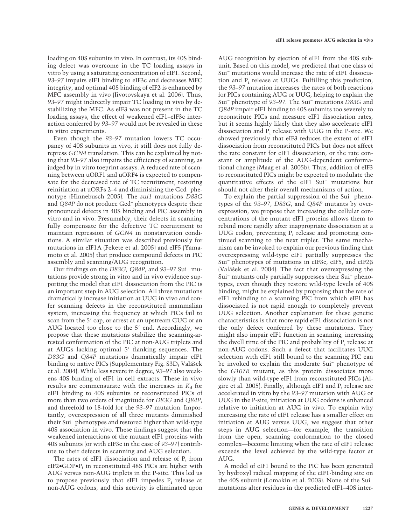loading on 40S subunits in vivo. In contrast, its 40S binding defect was overcome in the TC loading assays in vitro by using a saturating concentration of eIF1. Second, *93–97* impairs eIF1 binding to eIF3c and decreases MFC integrity, and optimal 40S binding of eIF2 is enhanced by MFC assembly in vivo (Jivotovskaya et al. 2006). Thus, *93–97* might indirectly impair TC loading in vivo by destabilizing the MFC. As eIF3 was not present in the TC loading assays, the effect of weakened eIF1–eIF3c interaction conferred by *93–97* would not be revealed in these in vitro experiments.

Even though the *93–97* mutation lowers TC occupancy of 40S subunits in vivo, it still does not fully derepress *GCN4* translation. This can be explained by noting that *93–97* also impairs the efficiency of scanning, as judged by in vitro toeprint assays. A reduced rate of scanning between uORF1 and uORF4 is expected to compensate for the decreased rate of TC recruitment, restoring reinitiation at uORFs 2–4 and diminishing the Gcd− phenotype (Hinnebusch 2005). The *sui1* mutations *D83G* and *Q84P* do not produce Gcd− phenotypes despite their pronounced defects in 40S binding and PIC assembly in vitro and in vivo. Presumably, their defects in scanning fully compensate for the defective TC recruitment to maintain repression of *GCN4* in nonstarvation conditions. A similar situation was described previously for mutations in eIF1A (Fekete et al. 2005) and eIF5 (Yamamoto et al. 2005) that produce compound defects in PIC assembly and scanning/AUG recognition.

Our findings on the *D83G*, *Q84P*, and *93–97* Sui− mutations provide strong in vitro and in vivo evidence supporting the model that eIF1 dissociation from the PIC is an important step in AUG selection. All three mutations dramatically increase initiation at UUG in vivo and confer scanning defects in the reconstituted mammalian system, increasing the frequency at which PICs fail to scan from the 5' cap, or arrest at an upstream GUG or an AUG located too close to the 5' end. Accordingly, we propose that these mutations stabilize the scanning-arrested conformation of the PIC at non-AUG triplets and at AUGs lacking optimal 5' flanking sequences. The *D83G* and *Q84P* mutations dramatically impair eIF1 binding to native PICs (Supplementary Fig. S3D; Valášek et al. 2004). While less severe in degree, *93–97* also weakens 40S binding of eIF1 in cell extracts. These in vivo results are commensurate with the increases in  $K<sub>d</sub>$  for eIF1 binding to 40S subunits or reconstituted PICs of more than two orders of magnitude for *D83G* and *Q84P*, and threefold to 18-fold for the *93–97* mutation. Importantly, overexpression of all three mutants diminished their Sui<sup>−</sup> phenotypes and restored higher than wild-type 40S association in vivo. These findings suggest that the weakened interactions of the mutant eIF1 proteins with 40S subunits (or with eIF3c in the case of *93–97*) contribute to their defects in scanning and AUG selection.

The rates of eIF1 dissociation and release of  $P_i$  from eIF2 $\bullet$ GDP $\bullet$ P<sub>i</sub> in reconstituted 48S PICs are higher with AUG versus non-AUG triplets in the P-site. This led us to propose previously that eIF1 impedes  $P_i$  release at non-AUG codons, and this activity is eliminated upon

AUG recognition by ejection of eIF1 from the 40S subunit. Based on this model, we predicted that one class of Sui− mutations would increase the rate of eIF1 dissociation and  $P_i$  release at UUGs. Fulfilling this prediction, the *93–97* mutation increases the rates of both reactions for PICs containing AUG or UUG, helping to explain the Sui<sup>−</sup> phenotype of *93–97.* The Sui− mutations *D83G* and *Q84P* impair eIF1 binding to 40S subunits too severely to reconstitute PICs and measure eIF1 dissociation rates, but it seems highly likely that they also accelerate eIF1 dissociation and  $P_i$  release with UUG in the P-site. We showed previously that eIF3 reduces the extent of eIF1 dissociation from reconstituted PICs but does not affect the rate constant for eIF1 dissociation, or the rate constant or amplitude of the AUG-dependent conformational change (Maag et al. 2005b). Thus, addition of eIF3 to reconstituted PICs might be expected to modulate the quantitative effects of the eIF1 Sui<sup>−</sup> mutations but should not alter their overall mechanisms of action.

To explain the partial suppression of the Sui− phenotypes of the *93–97*, *D83G*, and *Q84P* mutants by overexpression, we propose that increasing the cellular concentrations of the mutant eIF1 proteins allows them to rebind more rapidly after inappropriate dissociation at a UUG codon, preventing  $P_i$  release and promoting continued scanning to the next triplet. The same mechanism can be invoked to explain our previous finding that overexpressing wild-type eIF1 partially suppresses the Sui− phenotypes of mutations in eIF3c, eIF5, and eIF2 (Valášek et al. 2004). The fact that overexpressing the Sui− mutants only partially suppresses their Sui− phenotypes, even though they restore wild-type levels of 40S binding, might be explained by proposing that the rate of eIF1 rebinding to a scanning PIC from which eIF1 has dissociated is not rapid enough to completely prevent UUG selection. Another explanation for these genetic characteristics is that more rapid eIF1 dissociation is not the only defect conferred by these mutations. They might also impair eIF1 function in scanning, increasing the dwell time of the PIC and probability of  $P_i$  release at non-AUG codons. Such a defect that facilitates UUG selection with eIF1 still bound to the scanning PIC can be invoked to explain the moderate Sui− phenotype of the *G107R* mutant, as this protein dissociates more slowly than wild-type eIF1 from reconstituted PICs (Algire et al. 2005). Finally, although eIF1 and  $P_i$  release are accelerated in vitro by the *93–97* mutation with AUG or UUG in the P-site, initiation at UUG codons is enhanced relative to initiation at AUG in vivo. To explain why increasing the rate of eIF1 release has a smaller effect on initiation at AUG versus UUG, we suggest that other steps in AUG selection—for example, the transition from the open, scanning conformation to the closed complex—become limiting when the rate of eIF1 release exceeds the level achieved by the wild-type factor at AUG.

A model of eIF1 bound to the PIC has been generated by hydroxyl radical mapping of the eIF1-binding site on the 40S subunit (Lomakin et al. 2003). None of the Sui− mutations alter residues in the predicted eIF1–40S inter-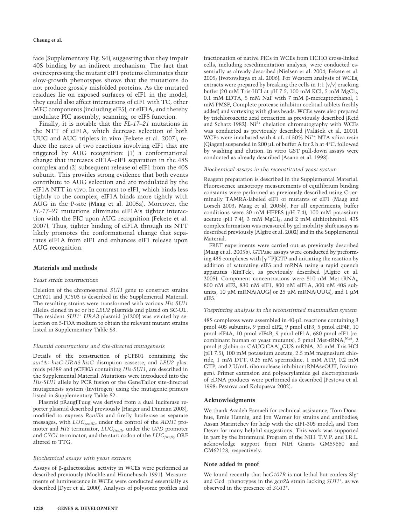#### **Cheung et al.**

face (Supplementary Fig. S4), suggesting that they impair 40S binding by an indirect mechanism. The fact that overexpressing the mutant eIF1 proteins eliminates their slow-growth phenotypes shows that the mutations do not produce grossly misfolded proteins. As the mutated residues lie on exposed surfaces of eIF1 in the model, they could also affect interactions of eIF1 with TC, other MFC components (including eIF5), or eIF1A, and thereby modulate PIC assembly, scanning, or eIF5 function.

Finally, it is notable that the *FL-17–21* mutations in the NTT of eIF1A, which decrease selection of both UUG and AUG triplets in vivo (Fekete et al. 2007), reduce the rates of two reactions involving eIF1 that are triggered by AUG recognition: (1) a conformational change that increases eIF1A–eIF1 separation in the 48S complex and (2) subsequent release of eIF1 from the 40S subunit. This provides strong evidence that both events contribute to AUG selection and are modulated by the eIF1A NTT in vivo. In contrast to eIF1, which binds less tightly to the complex, eIF1A binds more tightly with AUG in the P-site (Maag et al. 2005a). Moreover, the *FL-17–21* mutations eliminate eIF1A's tighter interaction with the PIC upon AUG recognition (Fekete et al. 2007). Thus, tighter binding of eIF1A through its NTT likely promotes the conformational change that separates eIF1A from eIF1 and enhances eIF1 release upon AUG recognition.

# **Materials and methods**

#### *Yeast strain constructions*

Deletion of the chromosomal *SUI1* gene to construct strains CHY01 and JCY03 is described in the Supplemental Material. The resulting strains were transformed with various *His-SUI1* alleles cloned in sc or hc *LEU2* plasmids and plated on SC-UL. The resident *SUI1<sup>+</sup> URA3* plasmid (p1200) was evicted by selection on 5-FOA medium to obtain the relevant mutant strains listed in Supplementary Table S3.

#### *Plasmid constructions and site-directed mutagenesis*

Details of the construction of pCFB01 containing the *sui1hisG-URA3-hisG* disruption cassette, and *LEU2* plasmids p4389 and pCFB03 containing *His-SUI1*, are described in the Supplemental Material. Mutations were introduced into the *His-SUI1* allele by PCR fusion or the GeneTailor site-directed mutagenesis system (Invitrogen) using the mutagenic primers listed in Supplementary Table S2.

Plasmid pRaugFFuug was derived from a dual luciferase reporter plasmid described previously (Harger and Dinman 2003), modified to express *Renilla* and firefly luciferase as separate messages, with *LUCrenilla* under the control of the *ADH1* promoter and *HIS* terminator, *LUC*<sub>firefly</sub> under the *GPD* promoter and *CYC1* terminator, and the start codon of the *LUC*<sub>firefly</sub> ORF altered to TTG.

#### *Biochemical assays with yeast extracts*

Assays of  $\beta$ -galactosidase activity in WCEs were performed as described previously (Moehle and Hinnebusch 1991). Measurements of luminescence in WCEs were conducted essentially as described (Dyer et al. 2000). Analyses of polysome profiles and

fractionation of native PICs in WCEs from HCHO cross-linked cells, including resedimentation analysis, were conducted essentially as already described (Nielsen et al. 2004; Fekete et al. 2005; Jivotovskaya et al. 2006). For Western analysis of WCEs, extracts were prepared by breaking the cells in  $1:1$   $(v/v)$  cracking buffer (20 mM Tris-HCl at pH 7.5, 100 mM KCl, 5 mM  $MgCl<sub>2</sub>$ , 0.1 mM EDTA, 5 mM NaF with 7 mM  $\beta$ -mercaptoethanol, 1 mM PMSF, Complete protease inhibitor cocktail tablets freshly added) and vortexing with glass beads. WCEs were also prepared by trichloroacetic acid extraction as previously described (Reid and Schatz 1982). Ni<sup>2+</sup> chelation chromatography with WCEs was conducted as previously described (Valášek et al. 2001). WCEs were incubated with 4 µL of 50% Ni2+-NTA-silica resin (Qiagen) suspended in 200 µL of buffer A for 2 h at 4°C, followed by washing and elution. In vitro GST pull-down assays were conducted as already described (Asano et al. 1998).

#### *Biochemical assays in the reconstituted yeast system*

Reagent preparation is described in the Supplemental Material. Fluorescence anisotropy measurements of equilibrium binding constants were performed as previously described using C-terminally TAMRA-labeled eIF1 or mutants of eIF1 (Maag and Lorsch 2003; Maag et al. 2005b). For all experiments, buffer conditions were 30 mM HEPES (pH 7.4), 100 mM potassium acetate (pH 7.4), 3 mM  $MgCl<sub>2</sub>$ , and 2 mM dithiothreitol. 43S complex formation was measured by gel mobility shift assays as described previously (Algire et al. 2002) and in the Supplemental Material.

FRET experiments were carried out as previously described (Maag et al. 2005b). GTPase assays were conducted by preforming 43S complexes with  $[\gamma^{32}P]GTP$  and initiating the reaction by addition of saturating eIF5 and mRNA using a rapid quench apparatus (KinTek), as previously described (Algire et al. 2005). Component concentrations were 810 nM Met-tRNA<sub>i</sub>, 800 nM eIF2, 830 nM eIF1, 800 nM eIF1A, 300 nM 40S subunits, 10 µM mRNA(AUG) or 25 µM mRNA(UUG), and 1 µM eIF5.

#### *Toeprinting analysis in the reconstituted mammalian system*

48S complexes were assembled in 40-µL reactions containing 3 pmol 40S subunits, 9 pmol eIF2, 9 pmol eIF3, 5 pmol eIF4F, 10 pmol eIF4A, 10 pmol eIF4B, 9 pmol eIF1A, 680 pmol eIF1 (recombinant human or yeast mutants), 5 pmol Met-tRNA, Met, 2 pmol β-globin or CAUG(CAA)<sub>n</sub>GUS mRNA, 20 mM Tris-HCl (pH 7.5), 100 mM potassium acetate, 2.5 mM magnesium chloride, 1 mM DTT, 0.25 mM spermidine, 1 mM ATP, 0.2 mM GTP, and 2 U/mL ribonuclease inhibitor (RNAseOUT, Invitrogen). Primer extension and polyacrylamide gel electrophoresis of cDNA products were performed as described (Pestova et al. 1998; Pestova and Kolupaeva 2002).

#### **Acknowledgments**

We thank Azadeh Esmaeli for technical assistance; Tom Donahue, Ernie Hannig, and Jon Warner for strains and antibodies; Assan Marintchev for help with the eIF1-30S model; and Tom Dever for many helpful suggestions. This work was supported in part by the Intramural Program of the NIH. T.V.P. and J.R.L. acknowledge support from NIH Grants GM59660 and GM62128, respectively.

#### **Note added in proof**

We found recently that hc*G107R* is not lethal but confers Slg<sup>−</sup> and Gcd− phenotypes in the *gcn2* strain lacking *SUI1*<sup>+</sup> , as we observed in the presence of *SUI1*<sup>+</sup> .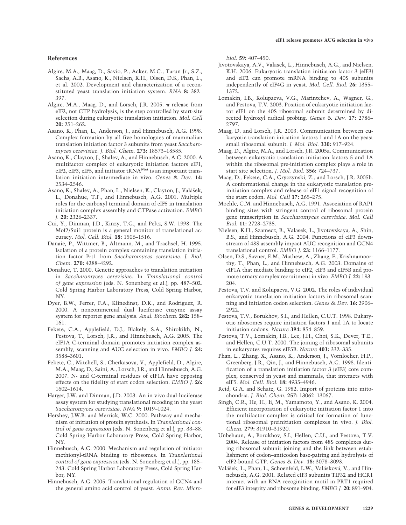# **References**

Algire, M.A., Maag, D., Savio, P., Acker, M.G., Tarun Jr., S.Z., Sachs, A.B., Asano, K., Nielsen, K.H., Olsen, D.S., Phan, L., et al. 2002. Development and characterization of a reconstituted yeast translation initiation system. *RNA* **8:** 382– 397.

Algire, M.A., Maag, D., and Lorsch, J.R. 2005.  $\pi$  release from eIF2, not GTP hydrolysis, is the step controlled by start-site selection during eukaryotic translation initiation. *Mol. Cell* **20:** 251–262.

Asano, K., Phan, L., Anderson, J., and Hinnebusch, A.G. 1998. Complex formation by all five homologues of mammalian translation initiation factor 3 subunits from yeast *Saccharomyces cerevisiae*. *J. Biol. Chem.* **273:** 18573–18585.

Asano, K., Clayton, J., Shalev, A., and Hinnebusch, A.G. 2000. A multifactor complex of eukaryotic initiation factors eIF1, eIF2, eIF3, eIF5, and initiator tRNA<sup>Met</sup> is an important translation initiation intermediate in vivo. *Genes* & *Dev.* **14:** 2534–2546.

Asano, K., Shalev, A., Phan, L., Nielsen, K., Clayton, J., Valášek, L., Donahue, T.F., and Hinnebusch, A.G. 2001. Multiple roles for the carboxyl terminal domain of eIF5 in translation initiation complex assembly and GTPase activation. *EMBO J.* **20:** 2326–2337.

Cui, Y., Dinman, J.D., Kinzy, T.G., and Peltz, S.W. 1998. The Mof2/Sui1 protein is a general monitor of translational accuracy. *Mol. Cell. Biol.* **18:** 1506–1516.

Danaie, P., Wittmer, B., Altmann, M., and Trachsel, H. 1995. Isolation of a protein complex containing translation initiation factor Prt1 from *Saccharomyces cerevisiae*. *J. Biol. Chem.* **270:** 4288–4292.

Donahue, T. 2000. Genetic approaches to translation initiation in *Saccharomyces cerevisiae*. In *Translational control of gene expression* (eds. N. Sonenberg et al.), pp. 487–502. Cold Spring Harbor Laboratory Press, Cold Spring Harbor, NY.

Dyer, B.W., Ferrer, F.A., Klinedinst, D.K., and Rodriguez, R. 2000. A noncommercial dual luciferase enzyme assay system for reporter gene analysis. *Anal. Biochem.* **282:** 158– 161.

Fekete, C.A., Applefield, D.J., Blakely, S.A., Shirokikh, N., Pestova, T., Lorsch, J.R., and Hinnebusch, A.G. 2005. The eIF1A C-terminal domain promotes initiation complex assembly, scanning and AUG selection in vivo. *EMBO J.* **24:** 3588–3601.

Fekete, C., Mitchell, S., Cherkasova, V., Applefield, D., Algire, M.A., Maag, D., Saini, A., Lorsch, J.R., and Hinnebusch, A.G. 2007. N- and C-terminal residues of eIF1A have opposing effects on the fidelity of start codon selection. *EMBO J.* **26:** 1602–1614.

Harger, J.W. and Dinman, J.D. 2003. An in vivo dual-luciferase assay system for studying translational recoding in the yeast *Saccharomyces cerevisiae*. *RNA* **9:** 1019–1024.

Hershey, J.W.B. and Merrick, W.C. 2000. Pathway and mechanism of initiation of protein synthesis. In *Translational control of gene expression* (eds. N. Sonenberg et al.), pp. 33–88. Cold Spring Harbor Laboratory Press, Cold Spring Harbor, NY.

Hinnebusch, A.G. 2000. Mechanism and regulation of initiator methionyl-tRNA binding to ribosomes. In *Translational control of gene expression* (eds. N. Sonenberg et al.), pp. 185– 243. Cold Spring Harbor Laboratory Press, Cold Spring Harbor, NY.

Hinnebusch, A.G. 2005. Translational regulation of GCN4 and the general amino acid control of yeast. *Annu. Rev. Micro-* *biol.* **59:** 407–450.

- Jivotovskaya, A.V., Valasek, L., Hinnebusch, A.G., and Nielsen, K.H. 2006. Eukaryotic translation initiation factor 3 (eIF3) and eIF2 can promote mRNA binding to 40S subunits independently of eIF4G in yeast. *Mol. Cell. Biol.* **26:** 1355– 1372.
- Lomakin, I.B., Kolupaeva, V.G., Marintchev, A., Wagner, G., and Pestova, T.V. 2003. Position of eukaryotic initiation factor eIF1 on the 40S ribosomal subunit determined by directed hydroxyl radical probing. *Genes* & *Dev.* **17:** 2786– 2797.
- Maag, D. and Lorsch, J.R. 2003. Communication between eukaryotic translation initiation factors 1 and 1A on the yeast small ribosomal subunit. *J. Mol. Biol.* **330:** 917–924.
- Maag, D., Algire, M.A., and Lorsch, J.R. 2005a. Communication between eukaryotic translation initiation factors 5 and 1A within the ribosomal pre-initiation complex plays a role in start site selection. *J. Mol. Biol.* **356:** 724–737.
- Maag, D., Fekete, C.A., Gryczynski, Z., and Lorsch, J.R. 2005b. A conformational change in the eukaryotic translation preinitiation complex and release of eIF1 signal recognition of the start codon. *Mol. Cell* **17:** 265–275.
- Moehle, C.M. and Hinnebusch, A.G. 1991. Association of RAP1 binding sites with stringent control of ribosomal protein gene transcription in *Saccharomyces cerevisiae*. *Mol. Cell Biol.* **11:** 2723–2735.
- Nielsen, K.H., Szamecz, B., Valasek, L., Jivotovskaya, A., Shin, B.S., and Hinnebusch, A.G. 2004. Functions of eIF3 downstream of 48S assembly impact AUG recognition and GCN4 translational control. *EMBO J.* **23:** 1166–1177.
- Olsen, D.S., Savner, E.M., Mathew, A., Zhang, F., Krishnamoorthy, T., Phan, L., and Hinnebusch, A.G. 2003. Domains of eIF1A that mediate binding to eIF2, eIF3 and eIF5B and promote ternary complex recruitment in vivo. *EMBO J.* **22:** 193– 204.
- Pestova, T.V. and Kolupaeva, V.G. 2002. The roles of individual eukaryotic translation initiation factors in ribosomal scanning and initiation codon selection. *Genes* & *Dev.* **16:** 2906– 2922.
- Pestova, T.V., Borukhov, S.I., and Hellen, C.U.T. 1998. Eukaryotic ribosomes require initiation factors 1 and 1A to locate initiation codons. *Nature* **394:** 854–859.
- Pestova, T.V., Lomakin, I.B., Lee, J.H., Choi, S.K., Dever, T.E., and Hellen, C.U.T. 2000. The joining of ribosomal subunits in eukaryotes requires eIF5B. *Nature* **403:** 332–335.
- Phan, L., Zhang, X., Asano, K., Anderson, J., Vornlocher, H.P., Greenberg, J.R., Qin, J., and Hinnebusch, A.G. 1998. Identification of a translation initiation factor 3 (eIF3) core complex, conserved in yeast and mammals, that interacts with eIF5. *Mol. Cell. Biol.* **18:** 4935–4946.
- Reid, G.A. and Schatz, G. 1982. Import of proteins into mitochondria. *J. Biol. Chem.* **257:** 13062–13067.
- Singh, C.R., He, H., Ii, M., Yamamoto, Y., and Asano, K. 2004. Efficient incorporation of eukaryotic initiation factor 1 into the multifactor complex is critical for formation of functional ribosomal preinitiation complexes in vivo. *J. Biol. Chem.* **279:** 31910–31920.
- Unbehaun, A., Borukhov, S.I., Hellen, C.U., and Pestova, T.V. 2004. Release of initiation factors from 48S complexes during ribosomal subunit joining and the link between establishment of codon–anticodon base-pairing and hydrolysis of eIF2-bound GTP. *Genes* & *Dev.* **18:** 3078–3093.
- Valášek, L., Phan, L., Schoenfeld, L.W., Valásková, V., and Hinnebusch, A.G. 2001. Related eIF3 subunits TIF32 and HCR1 interact with an RNA recoginition motif in PRT1 required for eIF3 integrity and ribosome binding. *EMBO J.* **20:** 891–904.